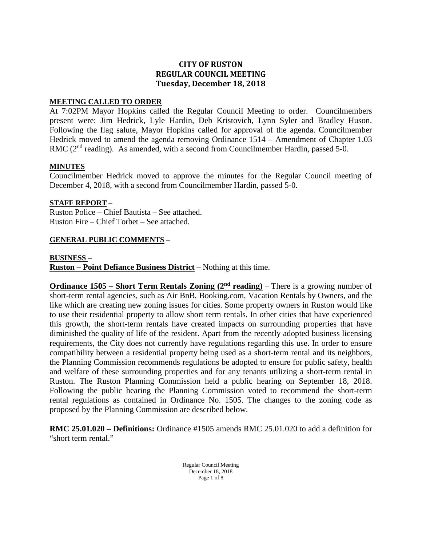# **CITY OF RUSTON REGULAR COUNCIL MEETING Tuesday, December 18, 2018**

#### **MEETING CALLED TO ORDER**

At 7:02PM Mayor Hopkins called the Regular Council Meeting to order. Councilmembers present were: Jim Hedrick, Lyle Hardin, Deb Kristovich, Lynn Syler and Bradley Huson. Following the flag salute, Mayor Hopkins called for approval of the agenda. Councilmember Hedrick moved to amend the agenda removing Ordinance 1514 – Amendment of Chapter 1.03 RMC (2<sup>nd</sup> reading). As amended, with a second from Councilmember Hardin, passed 5-0.

#### **MINUTES**

Councilmember Hedrick moved to approve the minutes for the Regular Council meeting of December 4, 2018, with a second from Councilmember Hardin, passed 5-0.

#### **STAFF REPORT** –

Ruston Police – Chief Bautista – See attached. Ruston Fire – Chief Torbet – See attached.

#### **GENERAL PUBLIC COMMENTS** –

#### **BUSINESS** –

**Ruston – Point Defiance Business District** – Nothing at this time.

**Ordinance** 1505 – **Short Term Rentals Zoning (2<sup>nd</sup> reading)** – There is a growing number of short-term rental agencies, such as Air BnB, Booking.com, Vacation Rentals by Owners, and the like which are creating new zoning issues for cities. Some property owners in Ruston would like to use their residential property to allow short term rentals. In other cities that have experienced this growth, the short-term rentals have created impacts on surrounding properties that have diminished the quality of life of the resident. Apart from the recently adopted business licensing requirements, the City does not currently have regulations regarding this use. In order to ensure compatibility between a residential property being used as a short-term rental and its neighbors, the Planning Commission recommends regulations be adopted to ensure for public safety, health and welfare of these surrounding properties and for any tenants utilizing a short-term rental in Ruston. The Ruston Planning Commission held a public hearing on September 18, 2018. Following the public hearing the Planning Commission voted to recommend the short-term rental regulations as contained in Ordinance No. 1505. The changes to the zoning code as proposed by the Planning Commission are described below.

**RMC 25.01.020 – Definitions:** Ordinance #1505 amends RMC 25.01.020 to add a definition for "short term rental."

> Regular Council Meeting December 18, 2018 Page 1 of 8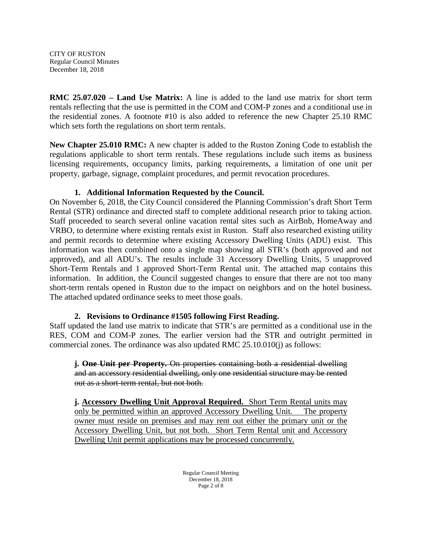**RMC 25.07.020 – Land Use Matrix:** A line is added to the land use matrix for short term rentals reflecting that the use is permitted in the COM and COM-P zones and a conditional use in the residential zones. A footnote #10 is also added to reference the new Chapter 25.10 RMC which sets forth the regulations on short term rentals.

**New Chapter 25.010 RMC:** A new chapter is added to the Ruston Zoning Code to establish the regulations applicable to short term rentals. These regulations include such items as business licensing requirements, occupancy limits, parking requirements, a limitation of one unit per property, garbage, signage, complaint procedures, and permit revocation procedures.

# **1. Additional Information Requested by the Council.**

On November 6, 2018, the City Council considered the Planning Commission's draft Short Term Rental (STR) ordinance and directed staff to complete additional research prior to taking action. Staff proceeded to search several online vacation rental sites such as AirBnb, HomeAway and VRBO, to determine where existing rentals exist in Ruston. Staff also researched existing utility and permit records to determine where existing Accessory Dwelling Units (ADU) exist. This information was then combined onto a single map showing all STR's (both approved and not approved), and all ADU's. The results include 31 Accessory Dwelling Units, 5 unapproved Short-Term Rentals and 1 approved Short-Term Rental unit. The attached map contains this information. In addition, the Council suggested changes to ensure that there are not too many short-term rentals opened in Ruston due to the impact on neighbors and on the hotel business. The attached updated ordinance seeks to meet those goals.

# **2. Revisions to Ordinance #1505 following First Reading.**

Staff updated the land use matrix to indicate that STR's are permitted as a conditional use in the RES, COM and COM-P zones. The earlier version had the STR and outright permitted in commercial zones. The ordinance was also updated RMC 25.10.010(j) as follows:

**j. One Unit per Property.** On properties containing both a residential dwelling and an accessory residential dwelling, only one residential structure may be rented out as a short-term rental, but not both.

**j. Accessory Dwelling Unit Approval Required.** Short Term Rental units may only be permitted within an approved Accessory Dwelling Unit. The property owner must reside on premises and may rent out either the primary unit or the Accessory Dwelling Unit, but not both. Short Term Rental unit and Accessory Dwelling Unit permit applications may be processed concurrently.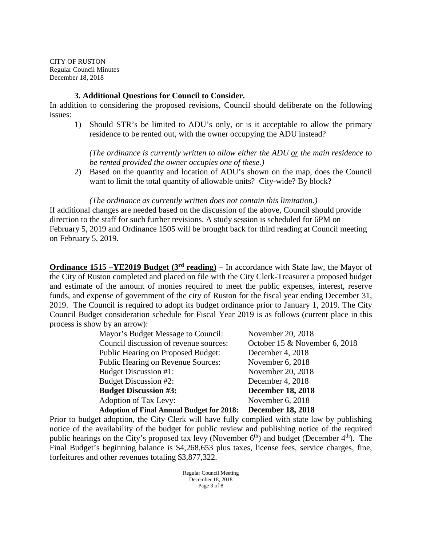### **3. Additional Questions for Council to Consider.**

In addition to considering the proposed revisions, Council should deliberate on the following issues:

1) Should STR's be limited to ADU's only, or is it acceptable to allow the primary residence to be rented out, with the owner occupying the ADU instead?

*(The ordinance is currently written to allow either the ADU or the main residence to be rented provided the owner occupies one of these.)*

2) Based on the quantity and location of ADU's shown on the map, does the Council want to limit the total quantity of allowable units? City-wide? By block?

*(The ordinance as currently written does not contain this limitation.)*

If additional changes are needed based on the discussion of the above, Council should provide direction to the staff for such further revisions. A study session is scheduled for 6PM on February 5, 2019 and Ordinance 1505 will be brought back for third reading at Council meeting on February 5, 2019.

**Ordinance 1515 –YE2019 Budget (3<sup>rd</sup> reading)** – In accordance with State law, the Mayor of the City of Ruston completed and placed on file with the City Clerk-Treasurer a proposed budget and estimate of the amount of monies required to meet the public expenses, interest, reserve funds, and expense of government of the city of Ruston for the fiscal year ending December 31, 2019. The Council is required to adopt its budget ordinance prior to January 1, 2019. The City Council Budget consideration schedule for Fiscal Year 2019 is as follows (current place in this process is show by an arrow):

| Mayor's Budget Message to Council:               | November 20, 2018             |
|--------------------------------------------------|-------------------------------|
| Council discussion of revenue sources:           | October 15 & November 6, 2018 |
| <b>Public Hearing on Proposed Budget:</b>        | December 4, 2018              |
| <b>Public Hearing on Revenue Sources:</b>        | November 6, 2018              |
| Budget Discussion #1:                            | November 20, 2018             |
| <b>Budget Discussion #2:</b>                     | December 4, 2018              |
| <b>Budget Discussion #3:</b>                     | <b>December 18, 2018</b>      |
| Adoption of Tax Levy:                            | November 6, 2018              |
| <b>Adoption of Final Annual Budget for 2018:</b> | <b>December 18, 2018</b>      |

Prior to budget adoption, the City Clerk will have fully complied with state law by publishing notice of the availability of the budget for public review and publishing notice of the required public hearings on the City's proposed tax levy (November  $6<sup>th</sup>$ ) and budget (December  $4<sup>th</sup>$ ). The Final Budget's beginning balance is \$4,268,653 plus taxes, license fees, service charges, fine, forfeitures and other revenues totaling \$3,877,322.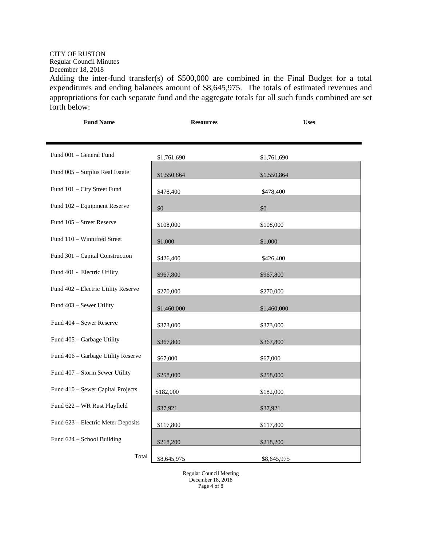# CITY OF RUSTON

Regular Council Minutes December 18, 2018

Adding the inter-fund transfer(s) of \$500,000 are combined in the Final Budget for a total expenditures and ending balances amount of \$8,645,975. The totals of estimated revenues and appropriations for each separate fund and the aggregate totals for all such funds combined are set forth below:

| <b>Fund Name</b>                    | <b>Resources</b> | <b>Uses</b> |
|-------------------------------------|------------------|-------------|
| Fund 001 - General Fund             | \$1,761,690      | \$1,761,690 |
| Fund 005 - Surplus Real Estate      | \$1,550,864      | \$1,550,864 |
| Fund 101 - City Street Fund         | \$478,400        | \$478,400   |
| Fund 102 - Equipment Reserve        | \$0              | \$0         |
| Fund 105 - Street Reserve           | \$108,000        | \$108,000   |
| Fund 110 - Winnifred Street         | \$1,000          | \$1,000     |
| Fund 301 - Capital Construction     | \$426,400        | \$426,400   |
| Fund 401 - Electric Utility         | \$967,800        | \$967,800   |
| Fund 402 - Electric Utility Reserve | \$270,000        | \$270,000   |
| Fund 403 - Sewer Utility            | \$1,460,000      | \$1,460,000 |
| Fund 404 - Sewer Reserve            | \$373,000        | \$373,000   |
| Fund 405 - Garbage Utility          | \$367,800        | \$367,800   |
| Fund 406 - Garbage Utility Reserve  | \$67,000         | \$67,000    |
| Fund 407 - Storm Sewer Utility      | \$258,000        | \$258,000   |
| Fund 410 - Sewer Capital Projects   | \$182,000        | \$182,000   |
| Fund 622 - WR Rust Playfield        | \$37,921         | \$37,921    |
| Fund 623 - Electric Meter Deposits  | \$117,800        | \$117,800   |
| Fund 624 - School Building          | \$218,200        | \$218,200   |
| Total                               | \$8,645,975      | \$8,645,975 |

Regular Council Meeting December 18, 2018 Page 4 of 8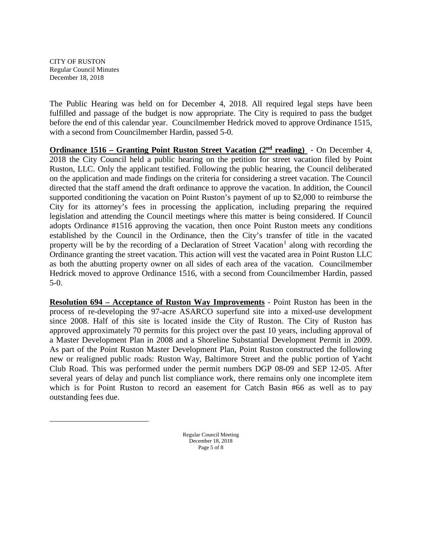<span id="page-4-0"></span> $\overline{a}$ 

The Public Hearing was held on for December 4, 2018. All required legal steps have been fulfilled and passage of the budget is now appropriate. The City is required to pass the budget before the end of this calendar year.Councilmember Hedrick moved to approve Ordinance 1515, with a second from Councilmember Hardin, passed 5-0.

**Ordinance 1516 – Granting Point Ruston Street Vacation (2nd reading)** - On December 4, 2018 the City Council held a public hearing on the petition for street vacation filed by Point Ruston, LLC. Only the applicant testified. Following the public hearing, the Council deliberated on the application and made findings on the criteria for considering a street vacation. The Council directed that the staff amend the draft ordinance to approve the vacation. In addition, the Council supported conditioning the vacation on Point Ruston's payment of up to \$2,000 to reimburse the City for its attorney's fees in processing the application, including preparing the required legislation and attending the Council meetings where this matter is being considered. If Council adopts Ordinance #1516 approving the vacation, then once Point Ruston meets any conditions established by the Council in the Ordinance, then the City's transfer of title in the vacated property will be by the recording of a Declaration of Street Vacation<sup>[1](#page-4-0)</sup> along with recording the Ordinance granting the street vacation. This action will vest the vacated area in Point Ruston LLC as both the abutting property owner on all sides of each area of the vacation. Councilmember Hedrick moved to approve Ordinance 1516, with a second from Councilmember Hardin, passed 5-0.

**Resolution 694 – Acceptance of Ruston Way Improvements** - Point Ruston has been in the process of re-developing the 97-acre ASARCO superfund site into a mixed-use development since 2008. Half of this site is located inside the City of Ruston. The City of Ruston has approved approximately 70 permits for this project over the past 10 years, including approval of a Master Development Plan in 2008 and a Shoreline Substantial Development Permit in 2009. As part of the Point Ruston Master Development Plan, Point Ruston constructed the following new or realigned public roads: Ruston Way, Baltimore Street and the public portion of Yacht Club Road. This was performed under the permit numbers DGP 08-09 and SEP 12-05. After several years of delay and punch list compliance work, there remains only one incomplete item which is for Point Ruston to record an easement for Catch Basin #66 as well as to pay outstanding fees due.

> Regular Council Meeting December 18, 2018 Page 5 of 8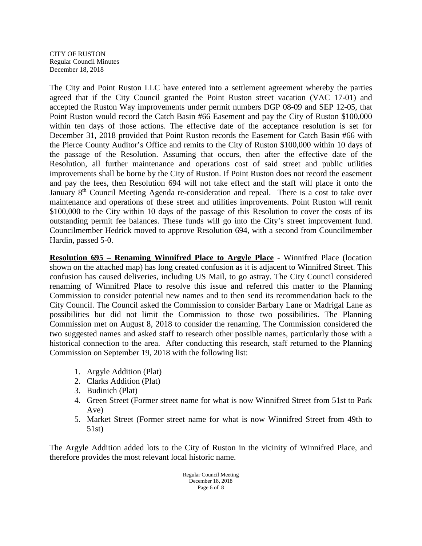The City and Point Ruston LLC have entered into a settlement agreement whereby the parties agreed that if the City Council granted the Point Ruston street vacation (VAC 17-01) and accepted the Ruston Way improvements under permit numbers DGP 08-09 and SEP 12-05, that Point Ruston would record the Catch Basin #66 Easement and pay the City of Ruston \$100,000 within ten days of those actions. The effective date of the acceptance resolution is set for December 31, 2018 provided that Point Ruston records the Easement for Catch Basin #66 with the Pierce County Auditor's Office and remits to the City of Ruston \$100,000 within 10 days of the passage of the Resolution. Assuming that occurs, then after the effective date of the Resolution, all further maintenance and operations cost of said street and public utilities improvements shall be borne by the City of Ruston. If Point Ruston does not record the easement and pay the fees, then Resolution 694 will not take effect and the staff will place it onto the January 8<sup>th</sup> Council Meeting Agenda re-consideration and repeal. There is a cost to take over maintenance and operations of these street and utilities improvements. Point Ruston will remit \$100,000 to the City within 10 days of the passage of this Resolution to cover the costs of its outstanding permit fee balances. These funds will go into the City's street improvement fund. Councilmember Hedrick moved to approve Resolution 694, with a second from Councilmember Hardin, passed 5-0.

**Resolution 695 – Renaming Winnifred Place to Argyle Place** - Winnifred Place (location shown on the attached map) has long created confusion as it is adjacent to Winnifred Street. This confusion has caused deliveries, including US Mail, to go astray. The City Council considered renaming of Winnifred Place to resolve this issue and referred this matter to the Planning Commission to consider potential new names and to then send its recommendation back to the City Council. The Council asked the Commission to consider Barbary Lane or Madrigal Lane as possibilities but did not limit the Commission to those two possibilities. The Planning Commission met on August 8, 2018 to consider the renaming. The Commission considered the two suggested names and asked staff to research other possible names, particularly those with a historical connection to the area. After conducting this research, staff returned to the Planning Commission on September 19, 2018 with the following list:

- 1. Argyle Addition (Plat)
- 2. Clarks Addition (Plat)
- 3. Budinich (Plat)
- 4. Green Street (Former street name for what is now Winnifred Street from 51st to Park Ave)
- 5. Market Street (Former street name for what is now Winnifred Street from 49th to 51st)

The Argyle Addition added lots to the City of Ruston in the vicinity of Winnifred Place, and therefore provides the most relevant local historic name.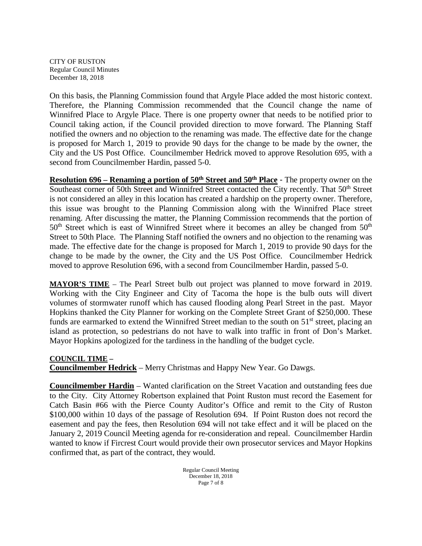On this basis, the Planning Commission found that Argyle Place added the most historic context. Therefore, the Planning Commission recommended that the Council change the name of Winnifred Place to Argyle Place. There is one property owner that needs to be notified prior to Council taking action, if the Council provided direction to move forward. The Planning Staff notified the owners and no objection to the renaming was made. The effective date for the change is proposed for March 1, 2019 to provide 90 days for the change to be made by the owner, the City and the US Post Office. Councilmember Hedrick moved to approve Resolution 695, with a second from Councilmember Hardin, passed 5-0.

**Resolution 696 – Renaming a portion of 50<sup>th</sup> Street and 50<sup>th</sup> Place - The property owner on the** Southeast corner of 50th Street and Winnifred Street contacted the City recently. That 50<sup>th</sup> Street is not considered an alley in this location has created a hardship on the property owner. Therefore, this issue was brought to the Planning Commission along with the Winnifred Place street renaming. After discussing the matter, the Planning Commission recommends that the portion of  $50<sup>th</sup>$  Street which is east of Winnifred Street where it becomes an alley be changed from  $50<sup>th</sup>$ Street to 50th Place. The Planning Staff notified the owners and no objection to the renaming was made. The effective date for the change is proposed for March 1, 2019 to provide 90 days for the change to be made by the owner, the City and the US Post Office. Councilmember Hedrick moved to approve Resolution 696, with a second from Councilmember Hardin, passed 5-0.

**MAYOR'S TIME** – The Pearl Street bulb out project was planned to move forward in 2019. Working with the City Engineer and City of Tacoma the hope is the bulb outs will divert volumes of stormwater runoff which has caused flooding along Pearl Street in the past. Mayor Hopkins thanked the City Planner for working on the Complete Street Grant of \$250,000. These funds are earmarked to extend the Winnifred Street median to the south on 51<sup>st</sup> street, placing an island as protection, so pedestrians do not have to walk into traffic in front of Don's Market. Mayor Hopkins apologized for the tardiness in the handling of the budget cycle.

#### **COUNCIL TIME –**

**Councilmember Hedrick** – Merry Christmas and Happy New Year. Go Dawgs.

**Councilmember Hardin** – Wanted clarification on the Street Vacation and outstanding fees due to the City. City Attorney Robertson explained that Point Ruston must record the Easement for Catch Basin #66 with the Pierce County Auditor's Office and remit to the City of Ruston \$100,000 within 10 days of the passage of Resolution 694. If Point Ruston does not record the easement and pay the fees, then Resolution 694 will not take effect and it will be placed on the January 2, 2019 Council Meeting agenda for re-consideration and repeal. Councilmember Hardin wanted to know if Fircrest Court would provide their own prosecutor services and Mayor Hopkins confirmed that, as part of the contract, they would.

> Regular Council Meeting December 18, 2018 Page 7 of 8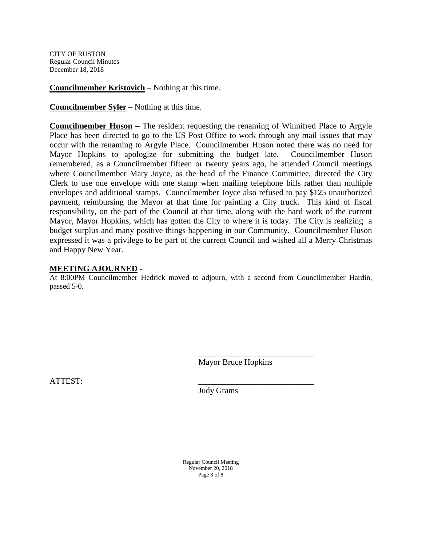**Councilmember Kristovich** – Nothing at this time.

**Councilmember Syler** – Nothing at this time.

**Councilmember Huson** – The resident requesting the renaming of Winnifred Place to Argyle Place has been directed to go to the US Post Office to work through any mail issues that may occur with the renaming to Argyle Place. Councilmember Huson noted there was no need for Mayor Hopkins to apologize for submitting the budget late. Councilmember Huson remembered, as a Councilmember fifteen or twenty years ago, he attended Council meetings where Councilmember Mary Joyce, as the head of the Finance Committee, directed the City Clerk to use one envelope with one stamp when mailing telephone bills rather than multiple envelopes and additional stamps. Councilmember Joyce also refused to pay \$125 unauthorized payment, reimbursing the Mayor at that time for painting a City truck. This kind of fiscal responsibility, on the part of the Council at that time, along with the hard work of the current Mayor, Mayor Hopkins, which has gotten the City to where it is today. The City is realizing a budget surplus and many positive things happening in our Community. Councilmember Huson expressed it was a privilege to be part of the current Council and wished all a Merry Christmas and Happy New Year.

#### **MEETING AJOURNED** -

At 8:00PM Councilmember Hedrick moved to adjourn, with a second from Councilmember Hardin, passed 5-0.

Mayor Bruce Hopkins

\_\_\_\_\_\_\_\_\_\_\_\_\_\_\_\_\_\_\_\_\_\_\_\_\_\_\_\_

ATTEST: \_\_\_\_\_\_\_\_\_\_\_\_\_\_\_\_\_\_\_\_\_\_\_\_\_\_\_\_

Judy Grams

Regular Council Meeting November 20, 2018 Page 8 of 8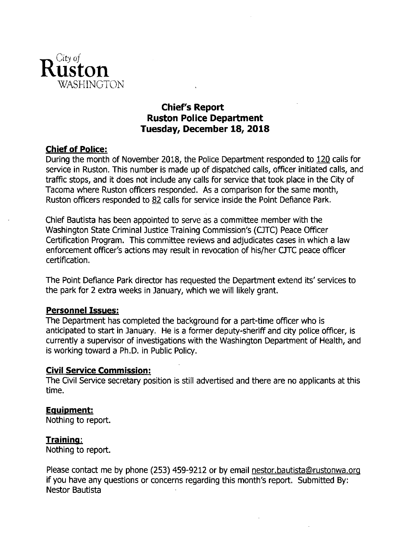

# **Chief's Report Ruston Police Department** Tuesday, December 18, 2018

# **Chief of Police:**

During the month of November 2018, the Police Department responded to 120 calls for service in Ruston. This number is made up of dispatched calls, officer initiated calls, and traffic stops, and it does not include any calls for service that took place in the City of Tacoma where Ruston officers responded. As a comparison for the same month, Ruston officers responded to 82 calls for service inside the Point Defiance Park.

Chief Bautista has been appointed to serve as a committee member with the Washington State Criminal Justice Training Commission's (CJTC) Peace Officer Certification Program. This committee reviews and adjudicates cases in which a law enforcement officer's actions may result in revocation of his/her CJTC peace officer certification.

The Point Defiance Park director has requested the Department extend its' services to the park for 2 extra weeks in January, which we will likely grant.

# **Personnel Issues:**

The Department has completed the background for a part-time officer who is anticipated to start in January. He is a former deputy-sheriff and city police officer, is currently a supervisor of investigations with the Washington Department of Health, and is working toward a Ph.D. in Public Policy.

# **Civil Service Commission:**

The Civil Service secretary position is still advertised and there are no applicants at this time.

# **Equipment:**

Nothing to report.

# Training:

Nothing to report.

Please contact me by phone (253) 459-9212 or by email nestor bautista@rustonwa.org if you have any questions or concerns regarding this month's report. Submitted By: Nestor Bautista